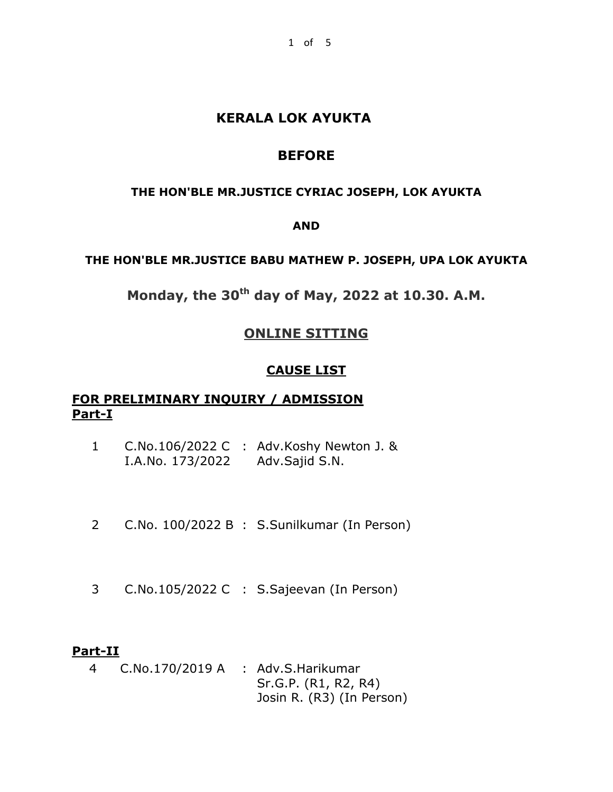# **KERALA LOK AYUKTA**

# **BEFORE**

#### **THE HON'BLE MR.JUSTICE CYRIAC JOSEPH, LOK AYUKTA**

#### **AND**

#### **THE HON'BLE MR.JUSTICE BABU MATHEW P. JOSEPH, UPA LOK AYUKTA**

**Monday, the 30th day of May, 2022 at 10.30. A.M.**

# **ONLINE SITTING**

#### **CAUSE LIST**

## **FOR PRELIMINARY INQUIRY / ADMISSION Part-I**

- 1 C.No.106/2022 C : Adv.Koshy Newton J. & I.A.No. 173/2022 Adv.Sajid S.N.
- 2 C.No. 100/2022 B : S.Sunilkumar (In Person)
- 3 C.No.105/2022 C : S.Sajeevan (In Person)

#### **Part-II**

4 C.No.170/2019 A : Adv.S.Harikumar Sr.G.P. (R1, R2, R4) Josin R. (R3) (In Person)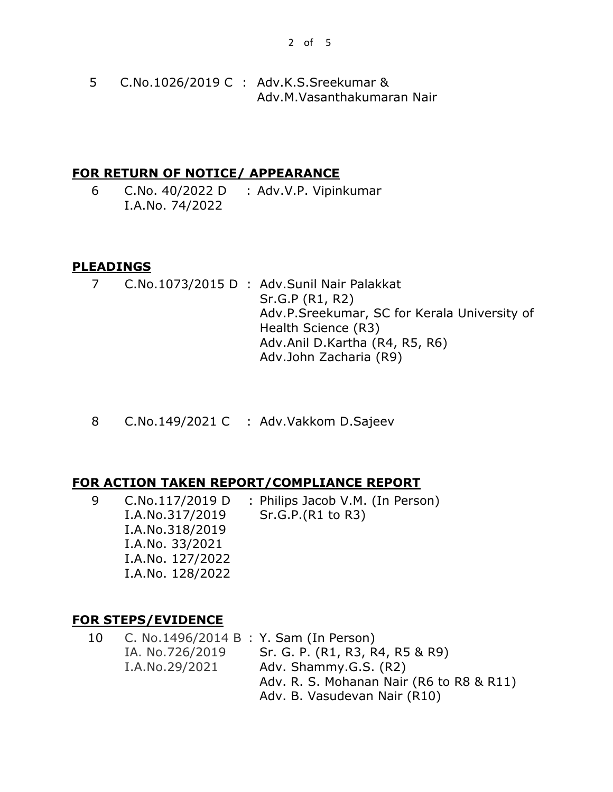5 C.No.1026/2019 C : Adv.K.S.Sreekumar & Adv.M.Vasanthakumaran Nair

#### **FOR RETURN OF NOTICE/ APPEARANCE**

6 C.No. 40/2022 D : Adv.V.P. Vipinkumar I.A.No. 74/2022

## **PLEADINGS**

- 7 C.No.1073/2015 D : Adv.Sunil Nair Palakkat Sr.G.P (R1, R2) Adv.P.Sreekumar, SC for Kerala University of Health Science (R3) Adv.Anil D.Kartha (R4, R5, R6) Adv.John Zacharia (R9)
- 8 C.No.149/2021 C : Adv.Vakkom D.Sajeev

## **FOR ACTION TAKEN REPORT/COMPLIANCE REPORT**

9 C.No.117/2019 D I.A.No.317/2019 I.A.No.318/2019 I.A.No. 33/2021 I.A.No. 127/2022 I.A.No. 128/2022 : Philips Jacob V.M. (In Person) Sr.G.P.(R1 to R3)

## **FOR STEPS/EVIDENCE**

10 C. No.1496/2014 B : Y. Sam (In Person) IA. No.726/2019 I.A.No.29/2021 Sr. G. P. (R1, R3, R4, R5 & R9) Adv. Shammy.G.S. (R2) Adv. R. S. Mohanan Nair (R6 to R8 & R11) Adv. B. Vasudevan Nair (R10)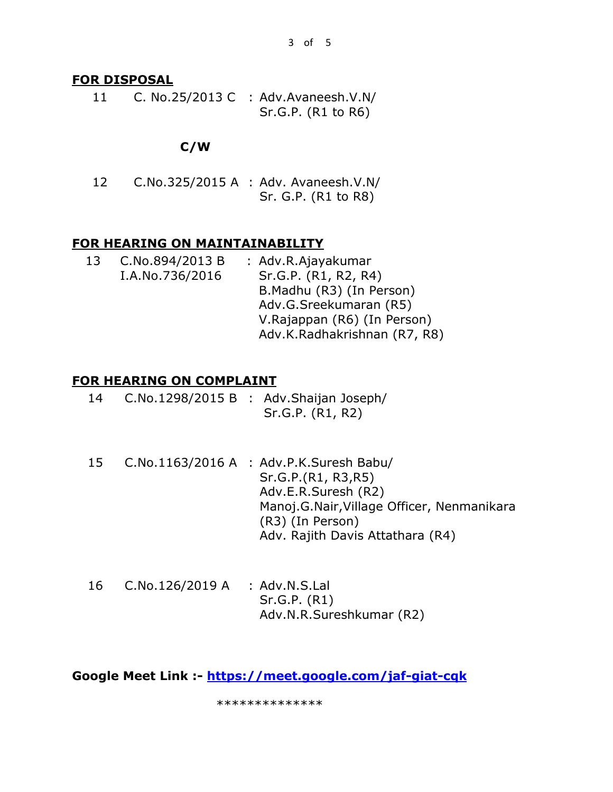## **FOR DISPOSAL**

11 C. No.25/2013 C : Adv.Avaneesh.V.N/ Sr.G.P. (R1 to R6)

## **C/W**

12 C.No.325/2015 A : Adv. Avaneesh.V.N/ Sr. G.P. (R1 to R8)

## **FOR HEARING ON MAINTAINABILITY**

| 13 | C.No.894/2013 B | : Adv.R.Ajayakumar           |  |  |
|----|-----------------|------------------------------|--|--|
|    | I.A.No.736/2016 | Sr.G.P. (R1, R2, R4)         |  |  |
|    |                 | B.Madhu (R3) (In Person)     |  |  |
|    |                 | Adv.G.Sreekumaran (R5)       |  |  |
|    |                 | V.Rajappan (R6) (In Person)  |  |  |
|    |                 | Adv.K.Radhakrishnan (R7, R8) |  |  |

## **FOR HEARING ON COMPLAINT**

| 14 |  | C.No.1298/2015 B : Adv.Shaijan Joseph/ |
|----|--|----------------------------------------|
|    |  | Sr.G.P. (R1, R2)                       |

- 15 C.No.1163/2016 A : Adv.P.K.Suresh Babu/ Sr.G.P.(R1, R3,R5) Adv.E.R.Suresh (R2) Manoj.G.Nair,Village Officer, Nenmanikara (R3) (In Person) Adv. Rajith Davis Attathara (R4)
- 16 C.No.126/2019 A : Adv.N.S.Lal Sr.G.P. (R1) Adv.N.R.Sureshkumar (R2)

**Google Meet Link :- <https://meet.google.com/jaf-giat-cqk>**

\*\*\*\*\*\*\*\*\*\*\*\*\*\*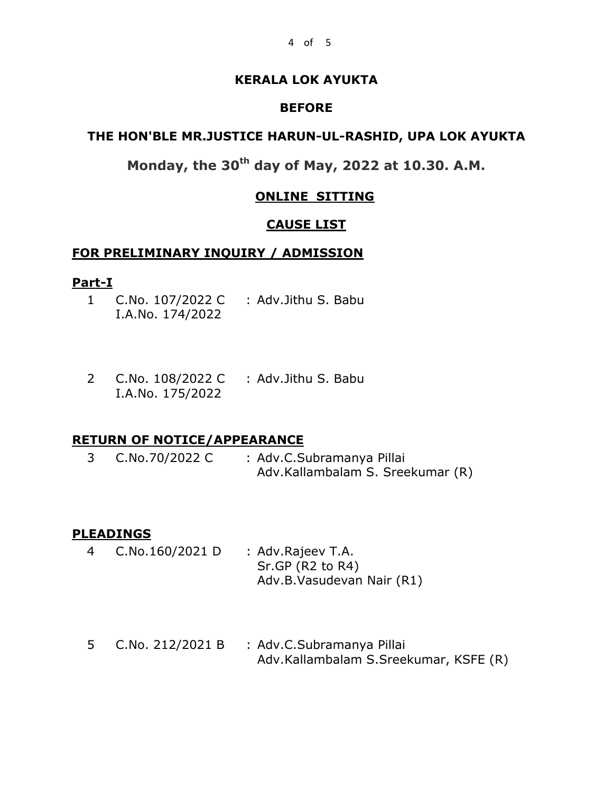#### **KERALA LOK AYUKTA**

#### **BEFORE**

# **THE HON'BLE MR.JUSTICE HARUN-UL-RASHID, UPA LOK AYUKTA**

# **Monday, the 30th day of May, 2022 at 10.30. A.M.**

#### **ONLINE SITTING**

#### **CAUSE LIST**

#### **FOR PRELIMINARY INQUIRY / ADMISSION**

#### **Part-I**

- 1 C.No. 107/2022 C : Adv.Jithu S. Babu I.A.No. 174/2022
- 2 C.No. 108/2022 C : Adv.Jithu S. Babu I.A.No. 175/2022

#### **RETURN OF NOTICE/APPEARANCE**

3 C.No.70/2022 C : Adv.C.Subramanya Pillai Adv.Kallambalam S. Sreekumar (R)

#### **PLEADINGS**

- 4 C.No.160/2021 D : Adv.Rajeev T.A. Sr.GP (R2 to R4) Adv.B.Vasudevan Nair (R1)
- 5 C.No. 212/2021 B : Adv.C.Subramanya Pillai Adv.Kallambalam S.Sreekumar, KSFE (R)